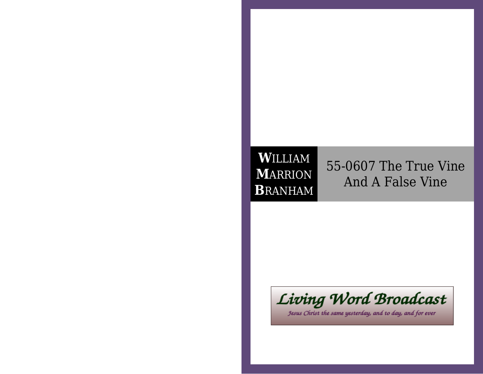# **W**ILLIAM **M**ARRION**B**RANHAM

55-0607 The True VineAnd A False Vine



Jesus Christ the same yesterday, and to day, and for ever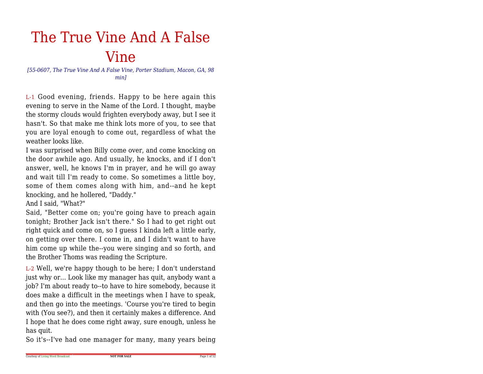# The True Vine And A FalseVine

 *[55-0607, The True Vine And A False Vine, Porter Stadium, Macon, GA, 98min]*

L-1 Good evening, friends. Happy to be here again this evening to serve in the Name of the Lord. I thought, maybe the stormy clouds would frighten everybody away, but I see it hasn't. So that make me think lots more of you, to see that you are loyal enough to come out, regardless of what theweather looks like.

 I was surprised when Billy come over, and come knocking on the door awhile ago. And usually, he knocks, and if I don't answer, well, he knows I'm in prayer, and he will go away and wait till I'm ready to come. So sometimes a little boy,some of them comes along with him, and--and he keptknocking, and he hollered, "Daddy."

And I said, "What?"

 Said, "Better come on; you're going have to preach again tonight; Brother Jack isn't there." So I had to get right out right quick and come on, so I guess I kinda left a little early,on getting over there. I come in, and I didn't want to have him come up while the--you were singing and so forth, andthe Brother Thoms was reading the Scripture.

L-2 Well, we're happy though to be here; I don't understand just why or... Look like my manager has quit, anybody want a job? I'm about ready to--to have to hire somebody, because it does make a difficult in the meetings when I have to speak,and then go into the meetings. 'Course you're tired to begin with (You see?), and then it certainly makes a difference. And I hope that he does come right away, sure enough, unless hehas quit.

So it's--I've had one manager for many, many years being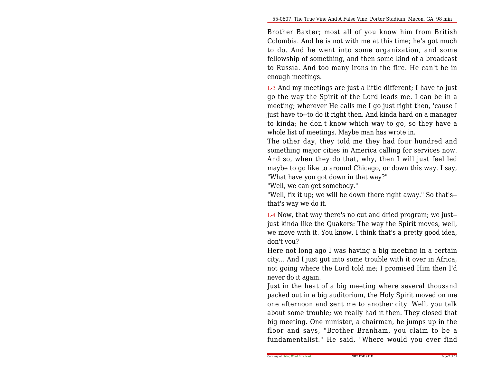Brother Baxter; most all of you know him from British Colombia. And he is not with me at this time; he's got much to do. And he went into some organization, and some fellowship of something, and then some kind of a broadcast to Russia. And too many irons in the fire. He can't be inenough meetings.

L-3 And my meetings are just a little different; I have to just go the way the Spirit of the Lord leads me. I can be in a meeting; wherever He calls me I go just right then, 'cause I just have to--to do it right then. And kinda hard on a manager to kinda; he don't know which way to go, so they have awhole list of meetings. Maybe man has wrote in.

The other day, they told me they had four hundred and something major cities in America calling for services now.And so, when they do that, why, then I will just feel led maybe to go like to around Chicago, or down this way. I say,"What have you got down in that way?"

"Well, we can get somebody."

 "Well, fix it up; we will be down there right away." So that's-that's way we do it.

L-4 Now, that way there's no cut and dried program; we just-just kinda like the Quakers: The way the Spirit moves, well, we move with it. You know, I think that's a pretty good idea,don't you?

 Here not long ago I was having a big meeting in a certain city... And I just got into some trouble with it over in Africa,not going where the Lord told me; I promised Him then I'dnever do it again.

Just in the heat of a big meeting where several thousand packed out in a big auditorium, the Holy Spirit moved on me one afternoon and sent me to another city. Well, you talk about some trouble; we really had it then. They closed that big meeting. One minister, a chairman, he jumps up in the floor and says, "Brother Branham, you claim to be afundamentalist." He said, "Where would you ever find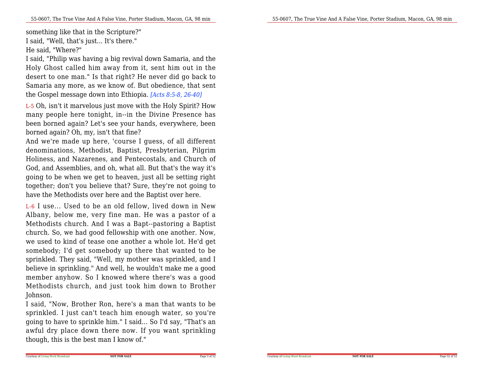something like that in the Scripture?"

I said, "Well, that's just... It's there."He said, "Where?"

 I said, "Philip was having a big revival down Samaria, and the Holy Ghost called him away from it, sent him out in the desert to one man." Is that right? He never did go back to Samaria any more, as we know of. But obedience, that sentthe Gospel message down into Ethiopia. *[Acts 8:5-8, 26-40]*

L-5 Oh, isn't it marvelous just move with the Holy Spirit? How many people here tonight, in--in the Divine Presence has been borned again? Let's see your hands, everywhere, beenborned again? Oh, my, isn't that fine?

 And we're made up here, 'course I guess, of all different denominations, Methodist, Baptist, Presbyterian, Pilgrim Holiness, and Nazarenes, and Pentecostals, and Church of God, and Assemblies, and oh, what all. But that's the way it's going to be when we get to heaven, just all be setting right together; don't you believe that? Sure, they're not going tohave the Methodists over here and the Baptist over here.

L-6 I use... Used to be an old fellow, lived down in New Albany, below me, very fine man. He was a pastor of a Methodists church. And I was a Bapt--pastoring a Baptist church. So, we had good fellowship with one another. Now,we used to kind of tease one another a whole lot. He'd get somebody; I'd get somebody up there that wanted to be sprinkled. They said, "Well, my mother was sprinkled, and I believe in sprinkling." And well, he wouldn't make me a good member anyhow. So I knowed where there's was a good Methodists church, and just took him down to BrotherJohnson.

I said, "Now, Brother Ron, here's a man that wants to be sprinkled. I just can't teach him enough water, so you're going to have to sprinkle him." I said... So I'd say, "That's an awful dry place down there now. If you want sprinklingthough, this is the best man I know of."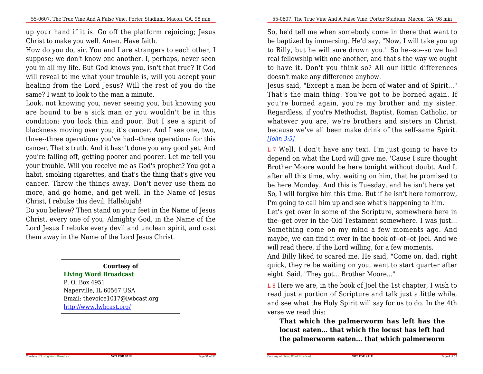up your hand if it is. Go off the platform rejoicing; JesusChrist to make you well. Amen. Have faith.

 How do you do, sir. You and I are strangers to each other, I suppose; we don't know one another. I, perhaps, never seen you in all my life. But God knows you, isn't that true? If God will reveal to me what your trouble is, will you accept your healing from the Lord Jesus? Will the rest of you do thesame? I want to look to the man a minute.

Look, not knowing you, never seeing you, but knowing you are bound to be a sick man or you wouldn't be in this condition: you look thin and poor. But I see a spirit of blackness moving over you; it's cancer. And I see one, two,three--three operations you've had--three operations for this cancer. That's truth. And it hasn't done you any good yet. And you're falling off, getting poorer and poorer. Let me tell you your trouble. Will you receive me as God's prophet? You got a habit, smoking cigarettes, and that's the thing that's give you cancer. Throw the things away. Don't never use them no more, and go home, and get well. In the Name of JesusChrist, I rebuke this devil. Hallelujah!

 Do you believe? Then stand on your feet in the Name of Jesus Christ, every one of you. Almighty God, in the Name of the Lord Jesus I rebuke every devil and unclean spirit, and castthem away in the Name of the Lord Jesus Christ.

#### **Courtesy of**

#### **Living Word Broadcast**

P. O. Box 4951 Naperville, IL 60567 USA Email: thevoice1017@lwbcast.orghttp://www.lwbcast.org/

So, he'd tell me when somebody come in there that want to be baptized by immersing. He'd say, "Now, I will take you up to Billy, but he will sure drown you." So he--so--so we had real fellowship with one another, and that's the way we ought to have it. Don't you think so? All our little differencesdoesn't make any difference anyhow.

Jesus said, "Except a man be born of water and of Spirit..." That's the main thing. You've got to be borned again. If you're borned again, you're my brother and my sister. Regardless, if you're Methodist, Baptist, Roman Catholic, or whatever you are, we're brothers and sisters in Christ, because we've all been make drink of the self-same Spirit.*[John 3:5]*

L-7 Well, I don't have any text. I'm just going to have to depend on what the Lord will give me. 'Cause I sure thought Brother Moore would be here tonight without doubt. And I,after all this time, why, waiting on him, that he promised to be here Monday. And this is Tuesday, and he isn't here yet.So, I will forgive him this time. But if he isn't here tomorrow,I'm going to call him up and see what's happening to him. Let's get over in some of the Scripture, somewhere here in the--get over in the Old Testament somewhere. I was just... Something come on my mind a few moments ago. And maybe, we can find it over in the book of--of--of Joel. And wewill read there, if the Lord willing, for a few moments.

And Billy liked to scared me. He said, "Come on, dad, right quick, they're be waiting on you, want to start quarter aftereight. Said, "They got... Brother Moore..."

L-8 Here we are, in the book of Joel the 1st chapter, I wish to read just a portion of Scripture and talk just a little while, and see what the Holy Spirit will say for us to do. In the 4thverse we read this:

**That which the palmerworm has left has the locust eaten... that which the locust has left hadthe palmerworm eaten... that which palmerworm**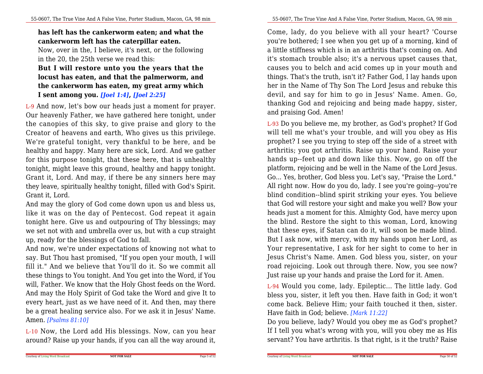## **has left has the cankerworm eaten; and what thecankerworm left has the caterpillar eaten.**

Now, over in the, I believe, it's next, or the followingin the 20, the 25th verse we read this:

### **But I will restore unto you the years that the locust has eaten, and that the palmerworm, and the cankerworm has eaten, my great army whichI sent among you.** *[Joel 1:4]***,** *[Joel 2:25]*

L-9 And now, let's bow our heads just a moment for prayer. Our heavenly Father, we have gathered here tonight, under the canopies of this sky, to give praise and glory to the Creator of heavens and earth, Who gives us this privilege.We're grateful tonight, very thankful to be here, and be healthy and happy. Many here are sick, Lord. And we gather for this purpose tonight, that these here, that is unhealthy tonight, might leave this ground, healthy and happy tonight. Grant it, Lord. And may, if there be any sinners here may they leave, spiritually healthy tonight, filled with God's Spirit.Grant it, Lord.

And may the glory of God come down upon us and bless us, like it was on the day of Pentecost. God repeat it again tonight here. Give us and outpouring of Thy blessings; may we set not with and umbrella over us, but with a cup straightup, ready for the blessings of God to fall.

 And now, we're under expectations of knowing not what to say. But Thou hast promised, "If you open your mouth, I will fill it." And we believe that You'll do it. So we commit allthese things to You tonight. And You get into the Word, if You will, Father. We know that the Holy Ghost feeds on the Word.And may the Holy Spirit of God take the Word and give It to every heart, just as we have need of it. And then, may there be a great healing service also. For we ask it in Jesus' Name.Amen. *[Psalms 81:10]*

L-10 Now, the Lord add His blessings. Now, can you heararound? Raise up your hands, if you can all the way around it,

Come, lady, do you believe with all your heart? 'Course you're bothered; I see when you get up of a morning, kind of a little stiffness which is in an arthritis that's coming on. And it's stomach trouble also; it's a nervous upset causes that,causes you to belch and acid comes up in your mouth and things. That's the truth, isn't it? Father God, I lay hands upon her in the Name of Thy Son The Lord Jesus and rebuke this devil, and say for him to go in Jesus' Name. Amen. Go,thanking God and rejoicing and being made happy, sister,and praising God. Amen!

L-93 Do you believe me, my brother, as God's prophet? If God will tell me what's your trouble, and will you obey as His prophet? I see you trying to step off the side of a street with arthritis; you got arthritis. Raise up your hand. Raise your hands up--feet up and down like this. Now, go on off the platform, rejoicing and be well in the Name of the Lord Jesus. Go... Yes, brother, God bless you. Let's say, "Praise the Lord." All right now. How do you do, lady. I see you're going--you're blind condition--blind spirit striking your eyes. You believe that God will restore your sight and make you well? Bow your heads just a moment for this. Almighty God, have mercy upon the blind. Restore the sight to this woman, Lord, knowing that these eyes, if Satan can do it, will soon be made blind.But I ask now, with mercy, with my hands upon her Lord, as Your representative, I ask for her sight to come to her in Jesus Christ's Name. Amen. God bless you, sister, on your road rejoicing. Look out through there. Now, you see now?Just raise up your hands and praise the Lord for it. Amen.

L-94 Would you come, lady. Epileptic... The little lady. God bless you, sister, it left you then. Have faith in God; it won't come back. Believe Him; your faith touched it then, sister.Have faith in God; believe. *[Mark 11:22]*

 Do you believe, lady? Would you obey me as God's prophet? If I tell you what's wrong with you, will you obey me as Hisservant? You have arthritis. Is that right, is it the truth? Raise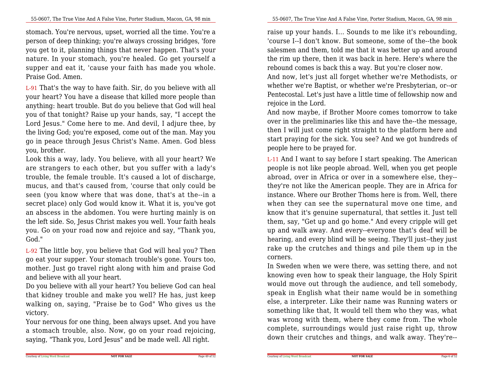stomach. You're nervous, upset, worried all the time. You're a person of deep thinking; you're always crossing bridges, 'fore you get to it, planning things that never happen. That's your nature. In your stomach, you're healed. Go get yourself a supper and eat it, 'cause your faith has made you whole.Praise God. Amen.

L-91 That's the way to have faith. Sir, do you believe with all your heart? You have a disease that killed more people than anything: heart trouble. But do you believe that God will heal you of that tonight? Raise up your hands, say, "I accept the Lord Jesus." Come here to me. And devil, I adjure thee, by the living God; you're exposed, come out of the man. May you go in peace through Jesus Christ's Name. Amen. God blessyou, brother.

Look this a way, lady. You believe, with all your heart? We are strangers to each other, but you suffer with a lady's trouble, the female trouble. It's caused a lot of discharge,mucus, and that's caused from, 'course that only could be seen (you know where that was done, that's at the--in a secret place) only God would know it. What it is, you've got an abscess in the abdomen. You were hurting mainly is on the left side. So, Jesus Christ makes you well. Your faith heals you. Go on your road now and rejoice and say, "Thank you,God."

L-92 The little boy, you believe that God will heal you? Then go eat your supper. Your stomach trouble's gone. Yours too, mother. Just go travel right along with him and praise Godand believe with all your heart.

Do you believe with all your heart? You believe God can heal that kidney trouble and make you well? He has, just keep walking on, saying, "Praise be to God" Who gives us thevictory.

Your nervous for one thing, been always upset. And you have a stomach trouble, also. Now, go on your road rejoicing,saying, "Thank you, Lord Jesus" and be made well. All right.

raise up your hands. I... Sounds to me like it's rebounding,'course I--I don't know. But someone, some of the--the book salesmen and them, told me that it was better up and around the rim up there, then it was back in here. Here's where therebound comes is back this a way. But you're closer now.

And now, let's just all forget whether we're Methodists, or whether we're Baptist, or whether we're Presbyterian, or--or Pentecostal. Let's just have a little time of fellowship now andrejoice in the Lord.

And now maybe, if Brother Moore comes tomorrow to take over in the preliminaries like this and have the--the message, then I will just come right straight to the platform here and start praying for the sick. You see? And we got hundreds ofpeople here to be prayed for.

L-11 And I want to say before I start speaking. The American people is not like people abroad. Well, when you get people abroad, over in Africa or over in a somewhere else, they- they're not like the American people. They are in Africa for instance. Where our Brother Thoms here is from. Well, there when they can see the supernatural move one time, and know that it's genuine supernatural, that settles it. Just tell them, say, "Get up and go home." And every cripple will get up and walk away. And every--everyone that's deaf will be hearing, and every blind will be seeing. They'll just--they just rake up the crutches and things and pile them up in thecorners.

In Sweden when we were there, was setting there, and not knowing even how to speak their language, the Holy Spirit would move out through the audience, and tell somebody, speak in English what their name would be in something else, a interpreter. Like their name was Running waters or something like that, It would tell them who they was, what was wrong with them, where they come from. The whole complete, surroundings would just raise right up, throwdown their crutches and things, and walk away. They're--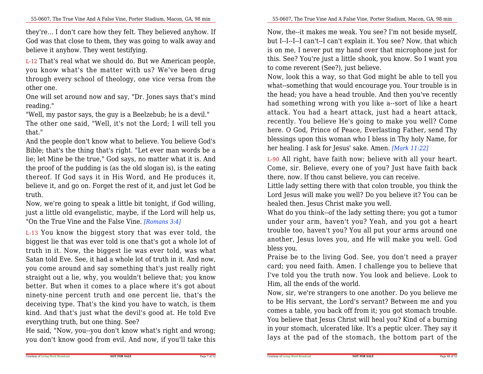they're... I don't care how they felt. They believed anyhow. If God was that close to them, they was going to walk away andbelieve it anyhow. They went testifying.

L-12 That's real what we should do. But we American people,you know what's the matter with us? We've been drug through every school of theology, one vice versa from theother one.

One will set around now and say, "Dr. Jones says that's mindreading."

 "Well, my pastor says, the guy is a Beelzebub; he is a devil." The other one said, "Well, it's not the Lord; I will tell youthat."

 And the people don't know what to believe. You believe God's Bible; that's the thing that's right. "Let ever man words be a lie; let Mine be the true," God says, no matter what it is. And the proof of the pudding is (as the old slogan is), is the eating thereof. If God says it in His Word, and He produces it,believe it, and go on. Forget the rest of it, and just let God betruth.

Now, we're going to speak a little bit tonight, if God willing, just a little old evangelistic, maybe, if the Lord will help us,"On the True Vine and the False Vine. *[Romans 3:4]*

L-13 You know the biggest story that was ever told, the biggest lie that was ever told is one that's got a whole lot of truth in it. Now, the biggest lie was ever told, was what Satan told Eve. See, it had a whole lot of truth in it. And now,you come around and say something that's just really right straight out a lie, why, you wouldn't believe that; you know better. But when it comes to a place where it's got about ninety-nine percent truth and one percent lie, that's the deceiving type. That's the kind you have to watch, is them kind. And that's just what the devil's good at. He told Eveeverything truth, but one thing. See?

 He said, "Now, you--you don't know what's right and wrong;you don't know good from evil. And now, if you'll take this

Now, the--it makes me weak. You see? I'm not beside myself,but I--I--I--I can't--I can't explain it. You see? Now, that which is on me, I never put my hand over that microphone just for this. See? You're just a little shook, you know. So I want youto come reverent (See?), just believe.

Now, look this a way, so that God might be able to tell you what--something that would encourage you. Your trouble is in the head; you have a head trouble. And then you've recently had something wrong with you like a--sort of like a heart attack. You had a heart attack, just had a heart attack,recently. You believe He's going to make you well? Come here. O God, Prince of Peace, Everlasting Father, send Thy blessings upon this woman who I bless in Thy holy Name, forher healing. I ask for Jesus' sake. Amen. *[Mark 11:22]*

L-90 All right, have faith now; believe with all your heart.Come, sir. Believe, every one of you? Just have faith backthere, now. If thou canst believe, you can receive.

 Little lady setting there with that colon trouble, you think the Lord Jesus will make you well? Do you believe it? You can behealed then. Jesus Christ make you well.

 What do you think--of the lady setting there; you got a tumor under your arm, haven't you? Yeah, and you got a heart trouble too, haven't you? You all put your arms around one another, Jesus loves you, and He will make you well. Godbless you.

Praise be to the living God. See, you don't need a prayer card; you need faith. Amen. I challenge you to believe that I've told you the truth now. You look and believe. Look toHim, all the ends of the world.

 Now, sir, we're strangers to one another. Do you believe me to be His servant, the Lord's servant? Between me and you comes a table, you back off from it; you got stomach trouble.You believe that Jesus Christ will heal you? Kind of a burning in your stomach, ulcerated like. It's a peptic ulcer. They say itlays at the pad of the stomach, the bottom part of the

Page 7 of 52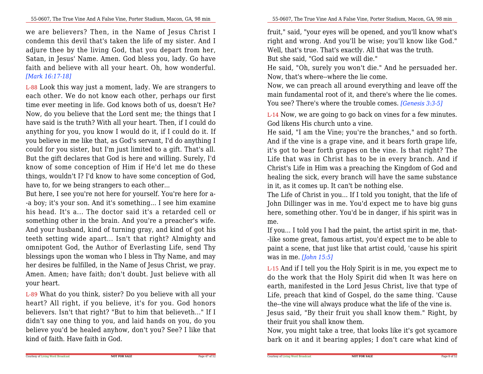we are believers? Then, in the Name of Jesus Christ I condemn this devil that's taken the life of my sister. And I adjure thee by the living God, that you depart from her,Satan, in Jesus' Name. Amen. God bless you, lady. Go have faith and believe with all your heart. Oh, how wonderful.*[Mark 16:17-18]*

L-88 Look this way just a moment, lady. We are strangers to each other. We do not know each other, perhaps our first time ever meeting in life. God knows both of us, doesn't He? Now, do you believe that the Lord sent me; the things that I have said is the truth? With all your heart. Then, if I could do anything for you, you know I would do it, if I could do it. If you believe in me like that, as God's servant, I'd do anything I could for you sister, but I'm just limited to a gift. That's all.But the gift declares that God is here and willing. Surely, I'd know of some conception of Him if He'd let me do these things, wouldn't I? I'd know to have some conception of God,have to, for we being strangers to each other...

But here, I see you're not here for yourself. You're here for a- -a boy; it's your son. And it's something... I see him examine his head. It's a... The doctor said it's a retarded cell or something other in the brain. And you're a preacher's wife.And your husband, kind of turning gray, and kind of got his teeth setting wide apart... Isn't that right? Almighty and omnipotent God, the Author of Everlasting Life, send Thy blessings upon the woman who I bless in Thy Name, and may her desires be fulfilled, in the Name of Jesus Christ, we pray.Amen. Amen; have faith; don't doubt. Just believe with allyour heart.

L-89 What do you think, sister? Do you believe with all your heart? All right, if you believe, it's for you. God honors believers. Isn't that right? "But to him that believeth..." If I didn't say one thing to you, and laid hands on you, do you believe you'd be healed anyhow, don't you? See? I like thatkind of faith. Have faith in God.

fruit," said, "your eyes will be opened, and you'll know what's right and wrong. And you'll be wise; you'll know like God."Well, that's true. That's exactly. All that was the truth.

But she said, "God said we will die."

 He said, "Oh, surely you won't die." And he persuaded her.Now, that's where--where the lie come.

Now, we can preach all around everything and leave off the main fundamental root of it, and there's where the lie comes.You see? There's where the trouble comes. *[Genesis 3:3-5]*

L-14 Now, we are going to go back on vines for a few minutes.God likens His church unto a vine.

 He said, "I am the Vine; you're the branches," and so forth.And if the vine is a grape vine, and it bears forth grape life, it's got to bear forth grapes on the vine. Is that right? The Life that was in Christ has to be in every branch. And if Christ's Life in Him was a preaching the Kingdom of God and healing the sick, every branch will have the same substancein it, as it comes up. It can't be nothing else.

 The Life of Christ in you... If I told you tonight, that the life of John Dillinger was in me. You'd expect me to have big guns here, something other. You'd be in danger, if his spirit was inme.

 If you... I told you I had the paint, the artist spirit in me, that--like some great, famous artist, you'd expect me to be able to paint a scene, that just like that artist could, 'cause his spiritwas in me. *[John 15:5]*

L-15 And if I tell you the Holy Spirit is in me, you expect me to do the work that the Holy Spirit did when It was here on earth, manifested in the Lord Jesus Christ, live that type of Life, preach that kind of Gospel, do the same thing. 'Causethe--the vine will always produce what the life of the vine is.Jesus said, "By their fruit you shall know them." Right, by

their fruit you shall know them.

Courtesy of Living Word Broadcast

 Now, you might take a tree, that looks like it's got sycamorebark on it and it bearing apples; I don't care what kind of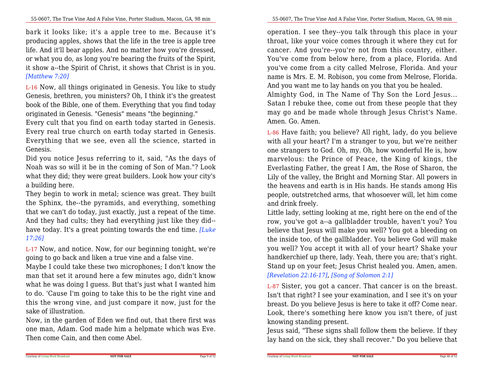bark it looks like; it's a apple tree to me. Because it's producing apples, shows that the life in the tree is apple tree life. And it'll bear apples. And no matter how you're dressed,or what you do, as long you're bearing the fruits of the Spirit,it show a--the Spirit of Christ, it shows that Christ is in you.*[Matthew 7:20]*

L-16 Now, all things originated in Genesis. You like to study Genesis, brethren, you ministers? Oh, I think it's the greatest book of the Bible, one of them. Everything that you find todayoriginated in Genesis. "Genesis" means "the beginning."

 Every cult that you find on earth today started in Genesis.Every real true church on earth today started in Genesis.Everything that we see, even all the science, started inGenesis.

Did you notice Jesus referring to it, said, "As the days of Noah was so will it be in the coming of Son of Man."? Look what they did; they were great builders. Look how your city'sa building here.

They begin to work in metal; science was great. They built the Sphinx, the--the pyramids, and everything, something that we can't do today, just exactly, just a repeat of the time.And they had cults; they had everything just like they did-have today. It's a great pointing towards the end time. *[Luke17:26]*

L-17 Now, and notice. Now, for our beginning tonight, we'regoing to go back and liken a true vine and a false vine.

Maybe I could take these two microphones; I don't know the man that set it around here a few minutes ago, didn't know what he was doing I guess. But that's just what I wanted him to do. 'Cause I'm going to take this to be the right vine and this the wrong vine, and just compare it now, just for thesake of illustration.

 Now, in the garden of Eden we find out, that there first was one man, Adam. God made him a helpmate which was Eve.Then come Cain, and then come Abel.

operation. I see they--you talk through this place in your throat, like your voice comes through it where they cut for cancer. And you're--you're not from this country, either.You've come from below here, from a place, Florida. And you've come from a city called Melrose, Florida. And your name is Mrs. E. M. Robison, you come from Melrose, Florida.And you want me to lay hands on you that you be healed. Almighty God, in The Name of Thy Son the Lord Jesus...Satan I rebuke thee, come out from these people that theymay go and be made whole through Jesus Christ's Name.

L-86 Have faith; you believe? All right, lady, do you believe with all your heart? I'm a stranger to you, but we're neither one strangers to God. Oh, my. Oh, how wonderful He is, how marvelous: the Prince of Peace, the King of kings, the Everlasting Father, the great I Am, the Rose of Sharon, the Lily of the valley, the Bright and Morning Star. All powers in the heavens and earth is in His hands. He stands among His people, outstretched arms, that whosoever will, let him comeand drink freely.

 Little lady, setting looking at me, right here on the end of the row, you've got a--a gallbladder trouble, haven't you? You believe that Jesus will make you well? You got a bleeding on the inside too, of the gallbladder. You believe God will make you well? You accept it with all of your heart? Shake your handkerchief up there, lady. Yeah, there you are; that's right.Stand up on your feet; Jesus Christ healed you. Amen, amen.*[Revelation 22:16-17]*, *[Song of Solomon 2:1]*

L-87 Sister, you got a cancer. That cancer is on the breast.Isn't that right? I see your examination, and I see it's on your breast. Do you believe Jesus is here to take it off? Come near. Look, there's something here know you isn't there, of justknowing standing present.

 Jesus said, "These signs shall follow them the believe. If theylay hand on the sick, they shall recover." Do you believe that

Courtesy of Living Word Broadcast

Amen. Go. Amen.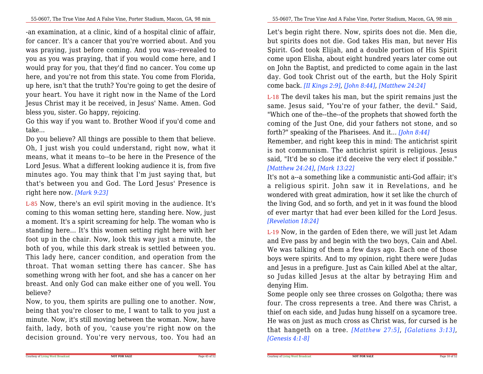-an examination, at a clinic, kind of a hospital clinic of affair,for cancer. It's a cancer that you're worried about. And you was praying, just before coming. And you was--revealed to you as you was praying, that if you would come here, and I would pray for you, that they'd find no cancer. You come up here, and you're not from this state. You come from Florida,up here, isn't that the truth? You're going to get the desire of your heart. You have it right now in the Name of the Lord Jesus Christ may it be received, in Jesus' Name. Amen. Godbless you, sister. Go happy, rejoicing.

Go this way if you want to. Brother Wood if you'd come andtake...

Do you believe? All things are possible to them that believe. Oh, I just wish you could understand, right now, what it means, what it means to--to be here in the Presence of the Lord Jesus. What a different looking audience it is, from five minutes ago. You may think that I'm just saying that, but that's between you and God. The Lord Jesus' Presence isright here now. *[Mark 9:23]*

L-85 Now, there's an evil spirit moving in the audience. It's coming to this woman setting here, standing here. Now, just a moment. It's a spirit screaming for help. The woman who is standing here... It's this women setting right here with her foot up in the chair. Now, look this way just a minute, the both of you, while this dark streak is settled between you.This lady here, cancer condition, and operation from the throat. That woman setting there has cancer. She has something wrong with her foot, and she has a cancer on her breast. And only God can make either one of you well. Youbelieve?

 Now, to you, them spirits are pulling one to another. Now,being that you're closer to me, I want to talk to you just a minute. Now, it's still moving between the woman. Now, have faith, lady, both of you, 'cause you're right now on thedecision ground. You're very nervous, too. You had an

Let's begin right there. Now, spirits does not die. Men die,but spirits does not die. God takes His man, but never His Spirit. God took Elijah, and a double portion of His Spirit come upon Elisha, about eight hundred years later come out on John the Baptist, and predicted to come again in the last day. God took Christ out of the earth, but the Holy Spiritcome back. *[II Kings 2:9]*, *[John 8:44]*, *[Matthew 24:24]*

L-18 The devil takes his man, but the spirit remains just the same. Jesus said, "You're of your father, the devil." Said, "Which one of the--the--of the prophets that showed forth the coming of the Just One, did your fathers not stone, and soforth?" speaking of the Pharisees. And it... *[John 8:44]*

 Remember, and right keep this in mind: The antichrist spirit is not communism. The antichrist spirit is religious. Jesus said, "It'd be so close it'd deceive the very elect if possible."*[Matthew 24:24]*, *[Mark 13:22]*

 It's not a--a something like a communistic anti-God affair; it's <sup>a</sup> religious spirit. John saw it in Revelations, and he wondered with great admiration, how it set like the church of the living God, and so forth, and yet in it was found the blood of ever martyr that had ever been killed for the Lord Jesus.*[Revelation 18:24]*

L-19 Now, in the garden of Eden there, we will just let Adam and Eve pass by and begin with the two boys, Cain and Abel. We was talking of them a few days ago. Each one of those boys were spirits. And to my opinion, right there were Judas and Jesus in a prefigure. Just as Cain killed Abel at the altar,so Judas killed Jesus at the altar by betraying Him anddenying Him.

Some people only see three crosses on Golgotha; there was four. The cross represents a tree. And there was Christ, a thief on each side, and Judas hung hisself on a sycamore tree.He was on just as much cross as Christ was, for cursed is he that hangeth on a tree. *[Matthew 27:5]*, *[Galatians 3:13]*, *[Genesis 4:1-8]*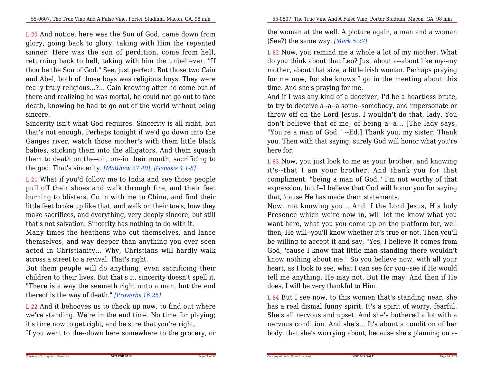L-20 And notice, here was the Son of God, came down from glory, going back to glory, taking with Him the repented sinner. Here was the son of perdition, come from hell,returning back to hell, taking with him the unbeliever. "If thou be the Son of God." See, just perfect. But those two Cain and Abel, both of those boys was religious boys. They were really truly religious...?... Cain knowing after he come out of there and realizing he was mortal, he could not go out to face death, knowing he had to go out of the world without beingsincere.

Sincerity isn't what God requires. Sincerity is all right, but that's not enough. Perhaps tonight if we'd go down into the Ganges river, watch those mother's with them little black babies, sticking them into the alligators. And them squash them to death on the--oh, on--in their mouth, sacrificing tothe god. That's sincerity. *[Matthew 27:40]*, *[Genesis 4:1-8]*

L-21 What if you'd follow me to India and see those people pull off their shoes and walk through fire, and their feet burning to blisters. Go in with me to China, and find their little feet broke up like that, and walk on their toe's, how they make sacrifices, and everything, very deeply sincere, but stillthat's not salvation. Sincerity has nothing to do with it.

 Many times the heathens who cut themselves, and lance themselves, and way deeper than anything you ever seen acted in Christianity... Why, Christians will hardly walkacross a street to a revival. That's right.

But them people will do anything, even sacrificing their children to their lives. But that's it, sincerity doesn't spell it."There is a way the seemeth right unto a man, but the endthereof is the way of death." *[Proverbs 16:25]*

L-22 And it behooves us to check up now, to find out where we're standing. We're in the end time. No time for playing;it's time now to get right, and be sure that you're right.

If you went to the--down here somewhere to the grocery, or

the woman at the well. A picture again, a man and a woman(See?) the same way. *[Mark 5:27]*

L-82 Now, you remind me a whole a lot of my mother. What do you think about that Leo? Just about a--about like my--my mother, about that size, a little irish woman. Perhaps praying for me now, for she knows I go in the meeting about thistime. And she's praying for me.

And if I was any kind of a deceiver, I'd be a heartless brute,to try to deceive a--a--a some--somebody, and impersonate or throw off on the Lord Jesus. I wouldn't do that, lady. You don't believe that of me, of being a--a... [The lady says, "You're a man of God." --Ed.] Thank you, my sister. Thank you. Then with that saying, surely God will honor what you'rehere for.

L-83 Now, you just look to me as your brother, and knowing it's--that <sup>I</sup> am your brother. And thank you for that compliment, "being a man of God." I'm not worthy of that expression, but I--I believe that God will honor you for sayingthat, 'cause He has made them statements.

Now, not knowing you... And if the Lord Jesus, His holy Presence which we're now in, will let me know what you want here, what you you come up on the platform for, well then, He will--you'll know whether it's true or not. Then you'llbe willing to accept it and say, "Yes, I believe It comes from God, 'cause I know that little man standing there wouldn't know nothing about me." So you believe now, with all your heart, as I look to see, what I can see for you--see if He would tell me anything. He may not. But He may. And then if Hedoes, I will be very thankful to Him.

L-84 But I see now, to this women that's standing near, she has a real dismal funny spirit. It's a spirit of worry, fearful. She's all nervous and upset. And she's bothered a lot with a nervous condition. And she's... It's about a condition of herbody, that she's worrying about, because she's planning on a-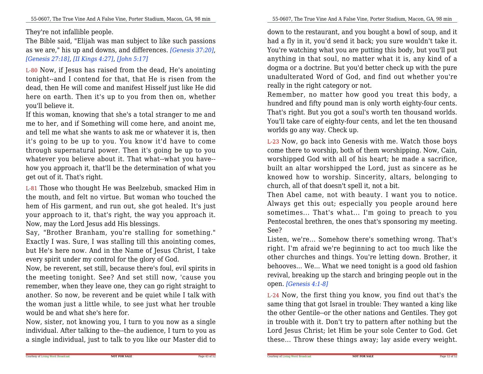#### They're not infallible people.

The Bible said, "Elijah was man subject to like such passions as we are," his up and downs, and differences. *[Genesis 37:20]*,*[Genesis 27:18]*, *[II Kings 4:27]*, *[John 5:17]*

L-80 Now, if Jesus has raised from the dead, He's anointing tonight--and I contend for that, that He is risen from the dead, then He will come and manifest Hisself just like He did here on earth. Then it's up to you from then on, whetheryou'll believe it.

 If this woman, knowing that she's a total stranger to me and me to her, and if Something will come here, and anoint me, and tell me what she wants to ask me or whatever it is, then it's going to be up to you. You know it'd have to come through supernatural power. Then it's going be up to you whatever you believe about it. That what--what you have- how you approach it, that'll be the determination of what youget out of it. That's right.

L-81 Those who thought He was Beelzebub, smacked Him in the mouth, and felt no virtue. But woman who touched the hem of His garment, and run out, she got healed. It's just your approach to it, that's right, the way you approach it.Now, may the Lord Jesus add His blessings.

 Say, "Brother Branham, you're stalling for something." Exactly I was. Sure, I was stalling till this anointing comes, but He's here now. And in the Name of Jesus Christ, I takeevery spirit under my control for the glory of God.

Now, be reverent, set still, because there's foul, evil spirits in the meeting tonight. See? And set still now, 'cause you remember, when they leave one, they can go right straight to another. So now, be reverent and be quiet while I talk with the woman just a little while, to see just what her troublewould be and what she's here for.

Now, sister, not knowing you, I turn to you now as a single individual. After talking to the--the audience, I turn to you asa single individual, just to talk to you like our Master did to

55-0607, The True Vine And A False Vine, Porter Stadium, Macon, GA, 98 min

down to the restaurant, and you bought a bowl of soup, and it had a fly in it, you'd send it back; you sure wouldn't take it. You're watching what you are putting this body, but you'll put anything in that soul, no matter what it is, any kind of a dogma or a doctrine. But you'd better check up with the pure unadulterated Word of God, and find out whether you'rereally in the right category or not.

 Remember, no matter how good you treat this body, a hundred and fifty pound man is only worth eighty-four cents. That's right. But you got a soul's worth ten thousand worlds.You'll take care of eighty-four cents, and let the ten thousandworlds go any way. Check up.

L-23 Now, go back into Genesis with me. Watch those boys come there to worship, both of them worshipping. Now, Cain,worshipped God with all of his heart; he made a sacrifice,built an altar worshipped the Lord, just as sincere as he knowed how to worship. Sincerity, altars, belonging tochurch, all of that doesn't spell it, not a bit.

 Then Abel came, not with beauty. I want you to notice.Always get this out; especially you people around here sometimes... That's what... I'm going to preach to you Pentecostal brethren, the ones that's sponsoring my meeting.See?

 Listen, we're... Somehow there's something wrong. That's right. I'm afraid we're beginning to act too much like the other churches and things. You're letting down. Brother, it behooves... We... What we need tonight is a good old fashion revival, breaking up the starch and bringing people out in theopen. *[Genesis 4:1-8]*

L-24 Now, the first thing you know, you find out that's the same thing that got Israel in trouble: They wanted a king like the other Gentile--or the other nations and Gentiles. They got in trouble with it. Don't try to pattern after nothing but the Lord Jesus Christ; let Him be your sole Center to God. Getthese... Throw these things away; lay aside every weight.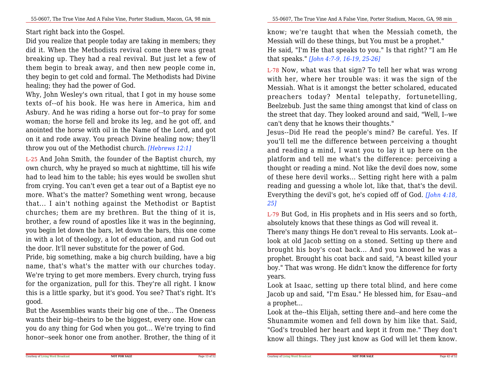Start right back into the Gospel.

Did you realize that people today are taking in members; they did it. When the Methodists revival come there was great breaking up. They had a real revival. But just let a few of them begin to break away, and then new people come in,they begin to get cold and formal. The Methodists had Divinehealing; they had the power of God.

Why, John Wesley's own ritual, that I got in my house some texts of--of his book. He was here in America, him and Asbury. And he was riding a horse out for--to pray for some woman; the horse fell and broke its leg, and he got off, and anointed the horse with oil in the Name of the Lord, and got on it and rode away. You preach Divine healing now; they'llthrow you out of the Methodist church. *[Hebrews 12:1]*

L-25 And John Smith, the founder of the Baptist church, my own church, why he prayed so much at nighttime, till his wife had to lead him to the table; his eyes would be swollen shut from crying. You can't even get a tear out of a Baptist eye no more. What's the matter? Something went wrong, because that... I ain't nothing against the Methodist or Baptist churches; them are my brethren. But the thing of it is,brother, a few round of apostles like it was in the beginning, you begin let down the bars, let down the bars, this one come in with a lot of theology, a lot of education, and run God outthe door. It'll never substitute for the power of God.

Pride, big something, make a big church building, have a big name, that's what's the matter with our churches today. We're trying to get more members. Every church, trying fuss for the organization, pull for this. They're all right. I know this is a little sparky, but it's good. You see? That's right. It'sgood.

But the Assemblies wants their big one of the... The Oneness wants their big--theirs to be the biggest, every one. How can you do any thing for God when you got... We're trying to findhonor--seek honor one from another. Brother, the thing of it

know; we're taught that when the Messiah cometh, theMessiah will do these things, but You must be a prophet." He said, "I'm He that speaks to you." Is that right? "I am Hethat speaks." *[John 4:7-9, 16-19, 25-26]*

L-78 Now, what was that sign? To tell her what was wrong with her, where her trouble was: it was the sign of the Messiah. What is it amongst the better scholared, educated preachers today? Mental telepathy, fortunetelling, Beelzebub. Just the same thing amongst that kind of class on the street that day. They looked around and said, "Well, I--wecan't deny that he knows their thoughts."

 Jesus--Did He read the people's mind? Be careful. Yes. If you'll tell me the difference between perceiving a thought and reading a mind, I want you to lay it up here on the platform and tell me what's the difference: perceiving a thought or reading a mind. Not like the devil does now, some of these here devil works... Setting right here with a palm reading and guessing a whole lot, like that, that's the devil. Everything the devil's got, he's copied off of God. *[John 4:18,25]*

L-79 But God, in His prophets and in His seers and so forth,absolutely knows that these things as God will reveal it.

 There's many things He don't reveal to His servants. Look at- look at old Jacob setting on a stoned. Setting up there and brought his boy's coat back... And you knowed he was a prophet. Brought his coat back and said, "A beast killed your boy." That was wrong. He didn't know the difference for fortyyears.

Look at Isaac, setting up there total blind, and here come Jacob up and said, "I'm Esau." He blessed him, for Esau--anda prophet...

Look at the--this Elijah, setting there and--and here come the Shunammite women and fell down by him like that. Said, "God's troubled her heart and kept it from me." They don'tknow all things. They just know as God will let them know.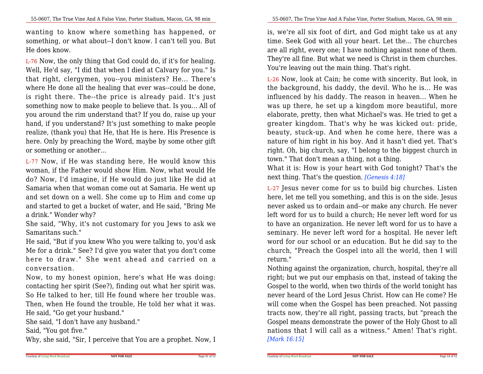wanting to know where something has happened, or something, or what about--I don't know. I can't tell you. ButHe does know.

L-76 Now, the only thing that God could do, if it's for healing.Well, He'd say, "I did that when I died at Calvary for you." Is that right, clergymen, you--you ministers? He... There's where He done all the healing that ever was--could be done,is right there. The--the price is already paid. It's just something now to make people to believe that. Is you... All of you around the rim understand that? If you do, raise up your hand, if you understand? It's just something to make people realize, (thank you) that He, that He is here. His Presence is here. Only by preaching the Word, maybe by some other giftor something or another...

L-77 Now, if He was standing here, He would know this woman, if the Father would show Him. Now, what would He do? Now, I'd imagine, if He would do just like He did at Samaria when that woman come out at Samaria. He went up and set down on a well. She come up to Him and come up and started to get a bucket of water, and He said, "Bring Mea drink." Wonder why?

 She said, "Why, it's not customary for you Jews to ask weSamaritans such."

 He said, "But if you knew Who you were talking to, you'd ask Me for a drink." See? I'd give you water that you don't come here to draw." She went ahead and carried on <sup>a</sup> conversation.

 Now, to my honest opinion, here's what He was doing: contacting her spirit (See?), finding out what her spirit was. So He talked to her, till He found where her trouble was. Then, when He found the trouble, He told her what it was.He said, "Go get your husband."

She said, "I don't have any husband."

Said, "You got five."

Why, she said, "Sir, I perceive that You are a prophet. Now, I

is, we're all six foot of dirt, and God might take us at any time. Seek God with all your heart. Let the... The churches are all right, every one; I have nothing against none of them.They're all fine. But what we need is Christ in them churches.You're leaving out the main thing. That's right.

L-26 Now, look at Cain; he come with sincerity. But look, in the background, his daddy, the devil. Who he is... He was influenced by his daddy. The reason in heaven... When he was up there, he set up a kingdom more beautiful, more elaborate, pretty, then what Michael's was. He tried to get a greater kingdom. That's why he was kicked out: pride, beauty, stuck-up. And when he come here, there was a nature of him right in his boy. And it hasn't died yet. That's right. Oh, big church, say, "I belong to the biggest church intown." That don't mean a thing, not a thing.

What it is: How is your heart with God tonight? That's thenext thing. That's the question. *[Genesis 4:18]*

L-27 Jesus never come for us to build big churches. Listen here, let me tell you something, and this is on the side. Jesus never asked us to ordain and--or make any church. He never left word for us to build a church; He never left word for us to have an organization. He never left word for us to have a seminary. He never left word for a hospital. He never left word for our school or an education. But he did say to the church, "Preach the Gospel into all the world, then I willreturn."

 Nothing against the organization, church, hospital, they're all right; but we put our emphasis on that, instead of taking the Gospel to the world, when two thirds of the world tonight has never heard of the Lord Jesus Christ. How can He come? He will come when the Gospel has been preached. Not passing tracts now, they're all right, passing tracts, but "preach the Gospel means demonstrate the power of the Holy Ghost to all nations that I will call as a witness." Amen! That's right.*[Mark 16:15]*

Page 41 of 52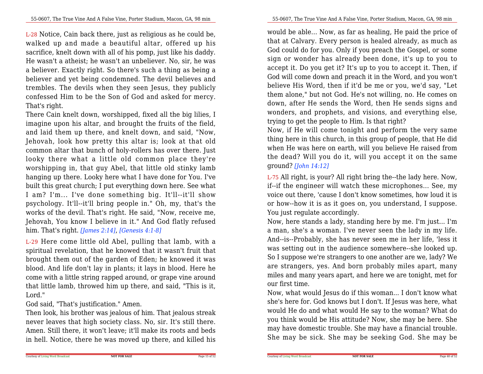L-28 Notice, Cain back there, just as religious as he could be, walked up and made a beautiful altar, offered up his sacrifice, knelt down with all of his pomp, just like his daddy.He wasn't a atheist; he wasn't an unbeliever. No, sir, he was a believer. Exactly right. So there's such a thing as being a believer and yet being condemned. The devil believes and trembles. The devils when they seen Jesus, they publicly confessed Him to be the Son of God and asked for mercy.That's right.

 There Cain knelt down, worshipped, fixed all the big lilies, I imagine upon his altar, and brought the fruits of the field, and laid them up there, and knelt down, and said, "Now,Jehovah, look how pretty this altar is; look at that old common altar that bunch of holy-rollers has over there. Just looky there what <sup>a</sup> little old common place they're worshipping in, that guy Abel, that little old stinky lamb hanging up there. Looky here what I have done for You. I've built this great church; I put everything down here. See what <sup>I</sup> am? I'm... I've done something big. It'll--it'll show psychology. It'll--it'll bring people in." Oh, my, that's the works of the devil. That's right. He said, "Now, receive me,Jehovah, You know I believe in it." And God flatly refusedhim. That's right. *[James 2:14]*, *[Genesis 4:1-8]*

L-29 Here come little old Abel, pulling that lamb, with a spiritual revelation, that he knowed that it wasn't fruit that brought them out of the garden of Eden; he knowed it was blood. And life don't lay in plants; it lays in blood. Here he come with a little string rapped around, or grape vine around that little lamb, throwed him up there, and said, "This is it,Lord."

God said, "That's justification." Amen.

 Then look, his brother was jealous of him. That jealous streak never leaves that high society class. No, sir. It's still there. Amen. Still there, it won't leave; it'll make its roots and bedsin hell. Notice, there he was moved up there, and killed his would be able... Now, as far as healing, He paid the price of that at Calvary. Every person is healed already, as much as God could do for you. Only if you preach the Gospel, or some sign or wonder has already been done, it's up to you to accept it. Do you get it? It's up to you to accept it. Then, if God will come down and preach it in the Word, and you won't believe His Word, then if it'd be me or you, we'd say, "Let them alone," but not God. He's not willing, no. He comes on down, after He sends the Word, then He sends signs and wonders, and prophets, and visions, and everything else,trying to get the people to Him. Is that right?

 Now, if He will come tonight and perform the very same thing here in this church, in this group of people, that He did when He was here on earth, will you believe He raised from the dead? Will you do it, will you accept it on the sameground? *[John 14:12]*

L-75 All right, is your? All right bring the--the lady here. Now,if--if the engineer will watch these microphones... See, my voice out there, 'cause I don't know sometimes, how loud it is or how--how it is as it goes on, you understand, I suppose.You just regulate accordingly.

Now, here stands a lady, standing here by me. I'm just... I'm a man, she's a woman. I've never seen the lady in my life.And--is--Probably, she has never seen me in her life, 'less it was setting out in the audience somewhere--she looked up.So I suppose we're strangers to one another are we, lady? We are strangers, yes. And born probably miles apart, many miles and many years apart, and here we are tonight, met forour first time.

 Now, what would Jesus do if this woman... I don't know what she's here for. God knows but I don't. If Jesus was here, what would He do and what would He say to the woman? What do you think would be His attitude? Now, she may be here. She may have domestic trouble. She may have a financial trouble.She may be sick. She may be seeking God. She may be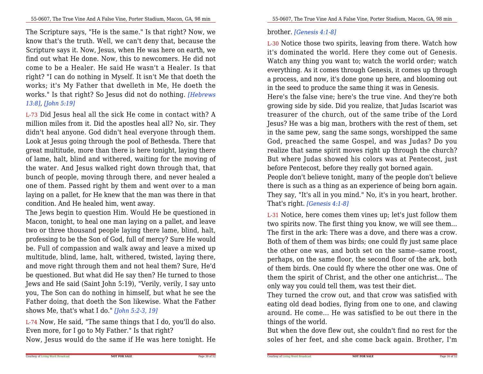The Scripture says, "He is the same." Is that right? Now, we know that's the truth. Well, we can't deny that, because the Scripture says it. Now, Jesus, when He was here on earth, we find out what He done. Now, this to newcomers. He did not come to be a Healer. He said He wasn't a Healer. Is that right? "I can do nothing in Myself. It isn't Me that doeth the works; it's My Father that dwelleth in Me, He doeth the works." Is that right? So Jesus did not do nothing. *[Hebrews13:8]*, *[John 5:19]*

L-73 Did Jesus heal all the sick He come in contact with? A million miles from it. Did the apostles heal all? No, sir. They didn't heal anyone. God didn't heal everyone through them.Look at Jesus going through the pool of Bethesda. There that great multitude, more than there is here tonight, laying there of lame, halt, blind and withered, waiting for the moving of the water. And Jesus walked right down through that, that bunch of people, moving through there, and never healed a one of them. Passed right by them and went over to a man laying on a pallet, for He knew that the man was there in thatcondition. And He healed him, went away.

 The Jews begin to question Him. Would He be questioned in Macon, tonight, to heal one man laying on a pallet, and leave two or three thousand people laying there lame, blind, halt,professing to be the Son of God, full of mercy? Sure He would be. Full of compassion and walk away and leave a mixed up multitude, blind, lame, halt, withered, twisted, laying there,and move right through them and not heal them? Sure, He'd be questioned. But what did He say then? He turned to those Jews and He said (Saint John 5:19), "Verily, verily, I say unto you, The Son can do nothing in himself, but what he see the Father doing, that doeth the Son likewise. What the Fathershows Me, that's what I do." *[John 5:2-3, 19]*

L-74 Now, He said, "The same things that I do, you'll do also.Even more, for I go to My Father." Is that right?

Now, Jesus would do the same if He was here tonight. He

#### brother. *[Genesis 4:1-8]*

Courtesy of Living Word Broadcast

L-30 Notice those two spirits, leaving from there. Watch how it's dominated the world. Here they come out of Genesis.Watch any thing you want to; watch the world order; watch everything. As it comes through Genesis, it comes up through a process, and now, it's done gone up here, and blooming outin the seed to produce the same thing it was in Genesis.

Here's the false vine; here's the true vine. And they're both growing side by side. Did you realize, that Judas Iscariot was treasurer of the church, out of the same tribe of the Lord Jesus? He was a big man, brothers with the rest of them, set in the same pew, sang the same songs, worshipped the same God, preached the same Gospel, and was Judas? Do you realize that same spirit moves right up through the church? But where Judas showed his colors was at Pentecost, justbefore Pentecost, before they really got borned again.

 People don't believe tonight, many of the people don't believe there is such as a thing as an experience of being born again. They say, "It's all in you mind." No, it's in you heart, brother.That's right. *[Genesis 4:1-8]*

L-31 Notice, here comes them vines up; let's just follow them two spirits now. The first thing you know, we will see them... The first in the ark: There was a dove, and there was a crow.Both of them of them was birds; one could fly just same place the other one was, and both set on the same--same roost,perhaps, on the same floor, the second floor of the ark, both of them birds. One could fly where the other one was. One of them the spirit of Christ, and the other one antichrist... Theonly way you could tell them, was test their diet.

 They turned the crow out, and that crow was satisfied with eating old dead bodies, flying from one to one, and clawing around. He come... He was satisfied to be out there in thethings of the world.

 But when the dove flew out, she couldn't find no rest for thesoles of her feet, and she come back again. Brother, I'm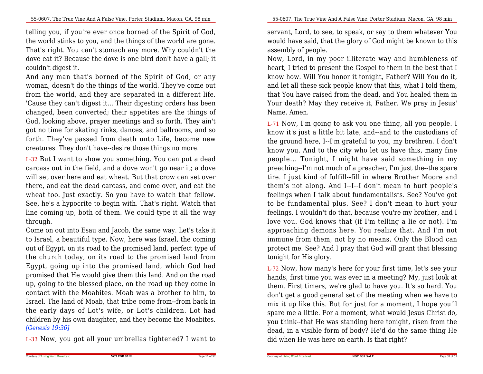telling you, if you're ever once borned of the Spirit of God,the world stinks to you, and the things of the world are gone. That's right. You can't stomach any more. Why couldn't the dove eat it? Because the dove is one bird don't have a gall; itcouldn't digest it.

And any man that's borned of the Spirit of God, or any woman, doesn't do the things of the world. They've come out from the world, and they are separated in a different life.'Cause they can't digest it... Their digesting orders has been changed, been converted; their appetites are the things of God, looking above, prayer meetings and so forth. They ain't got no time for skating rinks, dances, and ballrooms, and so forth. They've passed from death unto Life, become newcreatures. They don't have--desire those things no more.

L-32 But I want to show you something. You can put a dead carcass out in the field, and a dove won't go near it; a dove will set over here and eat wheat. But that crow can set over there, and eat the dead carcass, and come over, and eat the wheat too. Just exactly. So you have to watch that fellow.See, he's a hypocrite to begin with. That's right. Watch that line coming up, both of them. We could type it all the waythrough.

 Come on out into Esau and Jacob, the same way. Let's take it to Israel, a beautiful type. Now, here was Israel, the coming out of Egypt, on its road to the promised land, perfect type of the church today, on its road to the promised land from Egypt, going up into the promised land, which God had promised that He would give them this land. And on the road up, going to the blessed place, on the road up they come in contact with the Moabites. Moab was a brother to him, to Israel. The land of Moab, that tribe come from--from back in the early days of Lot's wife, or Lot's children. Lot had children by his own daughter, and they become the Moabites.*[Genesis 19:36]*

L-33 Now, you got all your umbrellas tightened? I want to

servant, Lord, to see, to speak, or say to them whatever You would have said, that the glory of God might be known to thisassembly of people.

Now, Lord, in my poor illiterate way and humbleness of heart, I tried to present the Gospel to them in the best that I know how. Will You honor it tonight, Father? Will You do it,and let all these sick people know that this, what I told them, that You have raised from the dead, and You healed them in Your death? May they receive it, Father. We pray in Jesus'Name. Amen.

L-71 Now, I'm going to ask you one thing, all you people. I know it's just a little bit late, and--and to the custodians of the ground here, I--I'm grateful to you, my brethren. I don't know you. And to the city who let us have this, many fine people... Tonight, <sup>I</sup> might have said something in my preaching--I'm not much of a preacher, I'm just the--the spare tire. I just kind of fulfill--fill in where Brother Moore and them's not along. And I--I--I don't mean to hurt people's feelings when I talk about fundamentalists. See? You've got to be fundamental plus. See? I don't mean to hurt your feelings. I wouldn't do that, because you're my brother, and I love you. God knows that (if I'm telling a lie or not). I'm approaching demons here. You realize that. And I'm not immune from them, not by no means. Only the Blood can protect me. See? And I pray that God will grant that blessingtonight for His glory.

L-72 Now, how many's here for your first time, let's see your hands, first time you was ever in a meeting? My, just look at them. First timers, we're glad to have you. It's so hard. You don't get a good general set of the meeting when we have to mix it up like this. But for just for a moment, I hope you'll spare me a little. For a moment, what would Jesus Christ do,you think--that He was standing here tonight, risen from the dead, in a visible form of body? He'd do the same thing Hedid when He was here on earth. Is that right?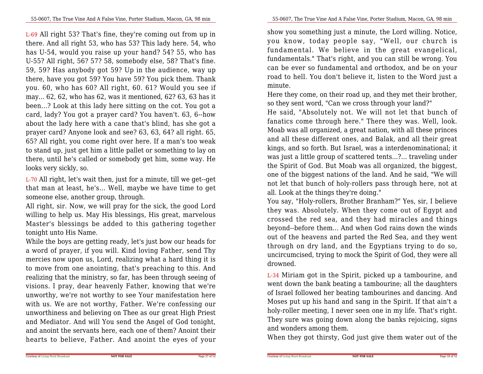L-69 All right 53? That's fine, they're coming out from up in there. And all right 53, who has 53? This lady here. 54, who has U-54, would you raise up your hand? 54? 55, who has U-55? All right, 56? 57? 58, somebody else, 58? That's fine.59, 59? Has anybody got 59? Up in the audience, way up there, have you got 59? You have 59? You pick them. Thank you. 60, who has 60? All right, 60. 61? Would you see if may... 62, 62, who has 62, was it mentioned, 62? 63, 63 has it been...? Look at this lady here sitting on the cot. You got a card, lady? You got a prayer card? You haven't. 63, 6--how about the lady here with a cane that's blind, has she got a prayer card? Anyone look and see? 63, 63, 64? all right. 65,65? All right, you come right over here. If a man's too weak to stand up, just get him a little pallet or something to lay on there, until he's called or somebody get him, some way. Helooks very sickly, so.

L-70 All right, let's wait then, just for a minute, till we get--get that man at least, he's... Well, maybe we have time to getsomeone else, another group, through.

 All right, sir. Now, we will pray for the sick, the good Lord willing to help us. May His blessings, His great, marvelous Master's blessings be added to this gathering together tonight unto His Name.

While the boys are getting ready, let's just bow our heads for a word of prayer, if you will. Kind loving Father, send Thy mercies now upon us, Lord, realizing what a hard thing it is to move from one anointing, that's preaching to this. And realizing that the ministry, so far, has been through seeing of visions. I pray, dear heavenly Father, knowing that we're unworthy, we're not worthy to see Your manifestation here with us. We are not worthy, Father. We're confessing our unworthiness and believing on Thee as our great High Priest and Mediator. And will You send the Angel of God tonight, and anoint the servants here, each one of them? Anoint theirhearts to believe, Father. And anoint the eyes of your

show you something just a minute, the Lord willing. Notice,you know, today people say, "Well, our church is fundamental. We believe in the great evangelical, fundamentals." That's right, and you can still be wrong. You can be ever so fundamental and orthodox, and be on your road to hell. You don't believe it, listen to the Word just aminute.

Here they come, on their road up, and they met their brother,so they sent word, "Can we cross through your land?"

 He said, "Absolutely not. We will not let that bunch of fanatics come through here." There they was. Well, look. Moab was all organized, a great nation, with all these princes and all these different ones, and Balak, and all their great kings, and so forth. But Israel, was a interdenominational; it was just a little group of scattered tents...?... traveling under the Spirit of God. But Moab was all organized, the biggest,one of the biggest nations of the land. And he said, "We willnot let that bunch of holy-rollers pass through here, not atall. Look at the things they're doing."

 You say, "Holy-rollers, Brother Branham?" Yes, sir, I believe they was. Absolutely. When they come out of Egypt and crossed the red sea, and they had miracles and things beyond--before them... And when God rains down the winds out of the heavens and parted the Red Sea, and they went through on dry land, and the Egyptians trying to do so,uncircumcised, trying to mock the Spirit of God, they were alldrowned.

L-34 Miriam got in the Spirit, picked up a tambourine, and went down the bank beating a tambourine; all the daughters of Israel followed her beating tambourines and dancing. And Moses put up his hand and sang in the Spirit. If that ain't a holy-roller meeting, I never seen one in my life. That's right.They sure was going down along the banks rejoicing, signsand wonders among them.

When they got thirsty, God just give them water out of the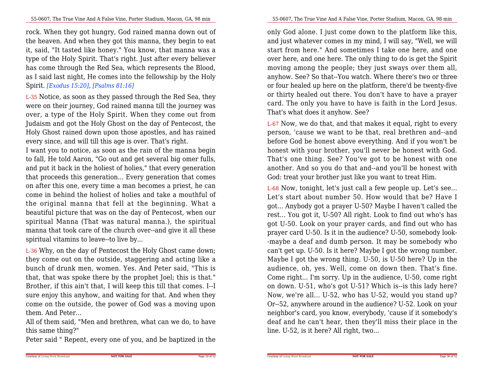rock. When they got hungry, God rained manna down out of the heaven. And when they got this manna, they begin to eat it, said, "It tasted like honey." You know, that manna was a type of the Holy Spirit. That's right. Just after every believer has come through the Red Sea, which represents the Blood,as I said last night, He comes into the fellowship by the HolySpirit. *[Exodus 15:20]*, *[Psalms 81:16]*

L-35 Notice, as soon as they passed through the Red Sea, they were on their journey, God rained manna till the journey was over, a type of the Holy Spirit. When they come out from Judaism and got the Holy Ghost on the day of Pentecost, the Holy Ghost rained down upon those apostles, and has rainedevery since, and will till this age is over. That's right.

 I want you to notice, as soon as the rain of the manna begin to fall, He told Aaron, "Go out and get several big omer fulls,and put it back in the holiest of holies," that every generation that proceeds this generation... Every generation that comes on after this one, every time a man becomes a priest, he can come in behind the holiest of holies and take a mouthful of the original manna that fell at the beginning. What a beautiful picture that was on the day of Pentecost, when our spiritual Manna (That was natural manna.), the spiritual manna that took care of the church over--and give it all thesespiritual vitamins to leave--to live by...

L-36 Why, on the day of Pentecost the Holy Ghost came down; they come out on the outside, staggering and acting like a bunch of drunk men, women. Yes. And Peter said, "This is that, that was spoke there by the prophet Joel; this is that." Brother, if this ain't that, I will keep this till that comes. I--I sure enjoy this anyhow, and waiting for that. And when they come on the outside, the power of God was a moving uponthem. And Peter...

All of them said, "Men and brethren, what can we do, to havethis same thing?"

Peter said " Repent, every one of you, and be baptized in the

only God alone. I just come down to the platform like this,and just whatever comes in my mind, I will say, "Well, we will start from here." And sometimes I take one here, and one over here, and one here. The only thing to do is get the Spirit moving among the people; they just sways over them all, anyhow. See? So that--You watch. Where there's two or three or four healed up here on the platform, there'd be twenty-five or thirty healed out there. You don't have to have a prayer card. The only you have to have is faith in the Lord Jesus.That's what does it anyhow. See?

L-67 Now, we do that, and that makes it equal, right to every person, 'cause we want to be that, real brethren and--and before God be honest above everything. And if you won't be honest with your brother, you'll never be honest with God.That's one thing. See? You've got to be honest with one another. And so you do that and--and you'll be honest withGod: treat your brother just like you want to treat Him.

L-68 Now, tonight, let's just call a few people up. Let's see... Let's start about number 50. How would that be? Have I got... Anybody got a prayer U-50? Maybe I haven't called the rest... You got it, U-50? All right. Look to find out who's has got U-50. Look on your prayer cards, and find out who has prayer card U-50. Is it in the audience? U-50, somebody look--maybe a deaf and dumb person. It may be somebody who can't get up. U-50. Is it here? Maybe I got the wrong number. Maybe I got the wrong thing. U-50, is U-50 here? Up in the audience, oh, yes. Well, come on down then. That's fine. Come right... I'm sorry. Up in the audience, U-50, come right on down. U-51, who's got U-51? Which is--is this lady here? Now, we're all... U-52, who has U-52, would you stand up? Or--52, anywhere around in the audience? U-52. Look on your neighbor's card, you know, everybody, 'cause if it somebody's deaf and he can't hear, then they'll miss their place in theline. U-52, is it here? All right, two...

Page 19 of 52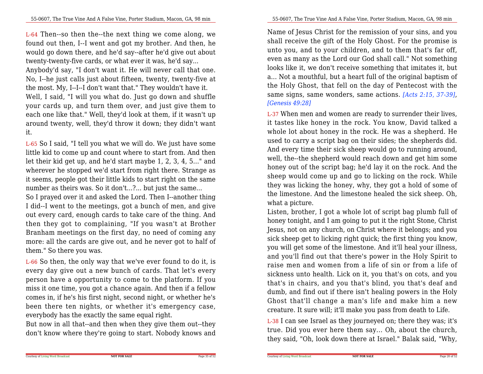L-64 Then--so then the--the next thing we come along, we found out then, I--I went and got my brother. And then, he would go down there, and he'd say--after he'd give out abouttwenty-twenty-five cards, or what ever it was, he'd say...

Anybody'd say, "I don't want it. He will never call that one.No, I--he just calls just about fifteen, twenty, twenty-five atthe most. My, I--I--I don't want that." They wouldn't have it.Well, I said, "I will you what do. Just go down and shuffle your cards up, and turn them over, and just give them to each one like that." Well, they'd look at them, if it wasn't up around twenty, well, they'd throw it down; they didn't wantit.

L-65 So I said, "I tell you what we will do. We just have some little kid to come up and count where to start from. And then let their kid get up, and he'd start maybe 1, 2, 3, 4, 5..." and wherever he stopped we'd start from right there. Strange as it seems, people got their little kids to start right on the samenumber as theirs was. So it don't...?... but just the same...

 So I prayed over it and asked the Lord. Then I--another thing I did--I went to the meetings, got a bunch of men, and give out every card, enough cards to take care of the thing. And then they got to complaining, "If you wasn't at Brother Branham meetings on the first day, no need of coming any more: all the cards are give out, and he never got to half ofthem." So there you was.

L-66 So then, the only way that we've ever found to do it, is every day give out a new bunch of cards. That let's every person have a opportunity to come to the platform. If you miss it one time, you got a chance again. And then if a fellow comes in, if he's his first night, second night, or whether he's been there ten nights, or whether it's emergency case,everybody has the exactly the same equal right.

But now in all that--and then when they give them out--theydon't know where they're going to start. Nobody knows and

55-0607, The True Vine And A False Vine, Porter Stadium, Macon, GA, 98 min

Name of Jesus Christ for the remission of your sins, and you shall receive the gift of the Holy Ghost. For the promise is unto you, and to your children, and to them that's far off,even as many as the Lord our God shall call." Not something looks like it, we don't receive something that imitates it, but a... Not a mouthful, but a heart full of the original baptism of the Holy Ghost, that fell on the day of Pentecost with the same signs, same wonders, same actions. *[Acts 2:15, 37-39]*,*[Genesis 49:28]*

L-37 When men and women are ready to surrender their lives,it tastes like honey in the rock. You know, David talked a whole lot about honey in the rock. He was a shepherd. He used to carry a script bag on their sides; the shepherds did. And every time their sick sheep would go to running around,well, the--the shepherd would reach down and get him some honey out of the script bag; he'd lay it on the rock. And the sheep would come up and go to licking on the rock. While they was licking the honey, why, they got a hold of some of the limestone. And the limestone healed the sick sheep. Oh,what a picture.

Listen, brother, I got a whole lot of script bag plumb full of honey tonight, and I am going to put it the right Stone, Christ Jesus, not on any church, on Christ where it belongs; and you sick sheep get to licking right quick; the first thing you know, you will get some of the limestone. And it'll heal your illness,and you'll find out that there's power in the Holy Spirit to raise men and women from a life of sin or from a life of sickness unto health. Lick on it, you that's on cots, and you that's in chairs, and you that's blind, you that's deaf and dumb, and find out if there isn't healing powers in the Holy Ghost that'll change a man's life and make him a newcreature. It sure will; it'll make you pass from death to Life.

L-38 I can see Israel as they journeyed on; there they was; it's true. Did you ever here them say... Oh, about the church,they said, "Oh, look down there at Israel." Balak said, "Why,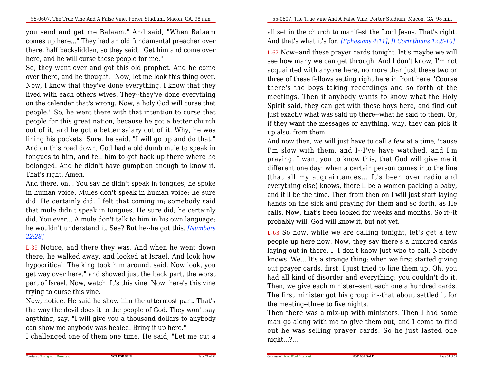you send and get me Balaam." And said, "When Balaam comes up here..." They had an old fundamental preacher over there, half backslidden, so they said, "Get him and come overhere, and he will curse these people for me."

 So, they went over and got this old prophet. And he come over there, and he thought, "Now, let me look this thing over.Now, I know that they've done everything. I know that they lived with each others wives. They--they've done everything on the calendar that's wrong. Now, a holy God will curse that people." So, he went there with that intention to curse that people for this great nation, because he got a better church out of it, and he got a better salary out of it. Why, he was lining his pockets. Sure, he said, "I will go up and do that." And on this road down, God had a old dumb mule to speak in tongues to him, and tell him to get back up there where he belonged. And he didn't have gumption enough to know it.That's right. Amen.

 And there, on... You say he didn't speak in tongues; he spoke in human voice. Mules don't speak in human voice; he sure did. He certainly did. I felt that coming in; somebody said that mule didn't speak in tongues. He sure did; he certainly did. You ever... A mule don't talk to him in his own language; he wouldn't understand it. See? But he--he got this. *[Numbers22:28]*

L-39 Notice, and there they was. And when he went down there, he walked away, and looked at Israel. And look how hypocritical. The king took him around, said, Now look, you get way over here." and showed just the back part, the worst part of Israel. Now, watch. It's this vine. Now, here's this vinetrying to curse this vine.

Now, notice. He said he show him the uttermost part. That's the way the devil does it to the people of God. They won't say anything, say, "I will give you a thousand dollars to anybodycan show me anybody was healed. Bring it up here."

I challenged one of them one time. He said, "Let me cut a

all set in the church to manifest the Lord Jesus. That's right.And that's what it's for. *[Ephesians 4:11]*, *[I Corinthians 12:8-10]*

L-62 Now--and these prayer cards tonight, let's maybe we willsee how many we can get through. And I don't know, I'm not acquainted with anyone here, no more than just these two or three of these fellows setting right here in front here. 'Course there's the boys taking recordings and so forth of the meetings. Then if anybody wants to know what the Holy Spirit said, they can get with these boys here, and find out just exactly what was said up there--what he said to them. Or,if they want the messages or anything, why, they can pick itup also, from them.

And now then, we will just have to call a few at a time, 'cause I'm slow with them, and I--I've have watched, and I'm praying. I want you to know this, that God will give me it different one day: when a certain person comes into the line (that all my acquaintances... It's been over radio and everything else) knows, there'll be a women packing a baby, and it'll be the time. Then from then on I will just start laying hands on the sick and praying for them and so forth, as He calls. Now, that's been looked for weeks and months. So it--itprobably will. God will know it, but not yet.

L-63 So now, while we are calling tonight, let's get a few people up here now. Now, they say there's a hundred cards laying out in there. I--I don't know just who to call. Nobody knows. We... It's a strange thing: when we first started giving out prayer cards, first, I just tried to line them up. Oh, you had all kind of disorder and everything; you couldn't do it.Then, we give each minister--sent each one a hundred cards. The first minister got his group in--that about settled it forthe meeting--three to five nights.

 Then there was a mix-up with ministers. Then I had some man go along with me to give them out, and I come to find out he was selling prayer cards. So he just lasted onenight...?...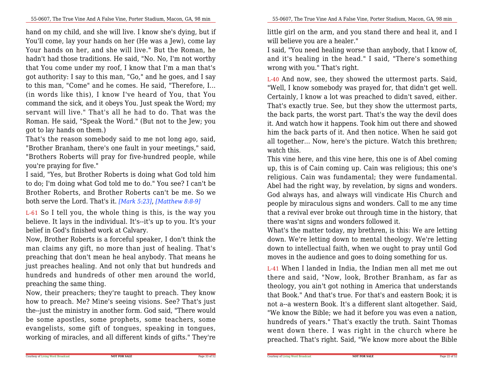hand on my child, and she will live. I know she's dying, but if You'll come, lay your hands on her (He was a Jew), come lay Your hands on her, and she will live." But the Roman, he hadn't had those traditions. He said, "No. No, I'm not worthy that You come under my roof, I know that I'm a man that's got authority: I say to this man, "Go," and he goes, and I say to this man, "Come" and he comes. He said, "Therefore, I... (in words like this), I know I've heard of You, that You command the sick, and it obeys You. Just speak the Word; my servant will live." That's all he had to do. That was the Roman. He said, "Speak the Word." (But not to the Jew; yougot to lay hands on them.)

 That's the reason somebody said to me not long ago, said, "Brother Branham, there's one fault in your meetings," said,"Brothers Roberts will pray for five-hundred people, whileyou're praying for five."

 I said, "Yes, but Brother Roberts is doing what God told him to do; I'm doing what God told me to do." You see? I can't be Brother Roberts, and Brother Roberts can't be me. So weboth serve the Lord. That's it. *[Mark 5:23]*, *[Matthew 8:8-9]*

L-61 So I tell you, the whole thing is this, is the way you believe. It lays in the individual. It's--it's up to you. It's yourbelief in God's finished work at Calvary.

Now, Brother Roberts is a forceful speaker, I don't think the man claims any gift, no more than just of healing. That's preaching that don't mean he heal anybody. That means he just preaches healing. And not only that but hundreds and hundreds and hundreds of other men around the world,preaching the same thing.

 Now, their preachers; they're taught to preach. They know how to preach. Me? Mine's seeing visions. See? That's just the--just the ministry in another form. God said, "There would be some apostles, some prophets, some teachers, some evangelists, some gift of tongues, speaking in tongues, working of miracles, and all different kinds of gifts." They're little girl on the arm, and you stand there and heal it, and Iwill believe you are a healer."

 I said, "You need healing worse than anybody, that I know of,and it's healing in the head." I said, "There's somethingwrong with you." That's right.

L-40 And now, see, they showed the uttermost parts. Said,"Well, I know somebody was prayed for, that didn't get well. Certainly, I know a lot was preached to didn't saved, either.That's exactly true. See, but they show the uttermost parts, the back parts, the worst part. That's the way the devil does it. And watch how it happens. Took him out there and showed him the back parts of it. And then notice. When he said got all together... Now, here's the picture. Watch this brethren;watch this.

This vine here, and this vine here, this one is of Abel coming up, this is of Cain coming up. Cain was religious; this one's religious. Cain was fundamental; they were fundamental.Abel had the right way, by revelation, by signs and wonders. God always has, and always will vindicate His Church and people by miraculous signs and wonders. Call to me any time that a revival ever broke out through time in the history, thatthere was'nt signs and wonders followed it.

 What's the matter today, my brethren, is this: We are letting down. We're letting down to mental theology. We're letting down to intellectual faith, when we ought to pray until Godmoves in the audience and goes to doing something for us.

L-41 When I landed in India, the Indian men all met me out there and said, "Now, look, Brother Branham, as far as theology, you ain't got nothing in America that understands that Book." And that's true. For that's and eastern Book; it is not a--a western Book. It's a different slant altogether. Said, "We know the Bible; we had it before you was even a nation,hundreds of years." That's exactly the truth. Saint Thomas went down there. I was right in the church where hepreached. That's right. Said, "We know more about the Bible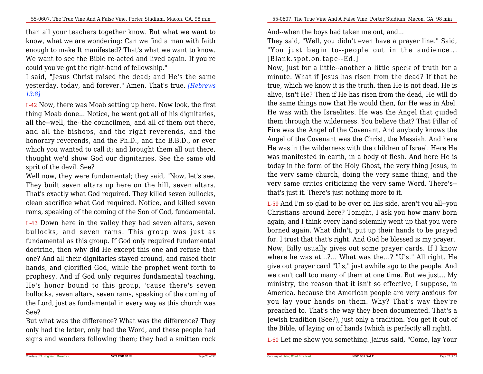than all your teachers together know. But what we want to know, what we are wondering: Can we find a man with faith enough to make It manifested? That's what we want to know.We want to see the Bible re-acted and lived again. If you'recould you've got the right-hand of fellowship."

 I said, "Jesus Christ raised the dead; and He's the same yesterday, today, and forever." Amen. That's true. *[Hebrews13:8]*

L-42 Now, there was Moab setting up here. Now look, the first thing Moab done... Notice, he went got all of his dignitaries,all the--well, the--the councilmen, and all of them out there, and all the bishops, and the right reverends, and the honorary reverends, and the Ph.D., and the B.B.D., or ever which you wanted to call it; and brought them all out there,thought we'd show God our dignitaries. See the same oldsprit of the devil. See?

 Well now, they were fundamental; they said, "Now, let's see. They built seven altars up here on the hill, seven altars.That's exactly what God required. They killed seven bullocks, clean sacrifice what God required. Notice, and killed sevenrams, speaking of the coming of the Son of God, fundamental.

L-43 Down here in the valley they had seven altars, seven bullocks, and seven rams. This group was just as fundamental as this group. If God only required fundamental doctrine, then why did He except this one and refuse that one? And all their dignitaries stayed around, and raised their hands, and glorified God, while the prophet went forth to prophesy. And if God only requires fundamental teaching, He's honor bound to this group, 'cause there's seven bullocks, seven altars, seven rams, speaking of the coming of the Lord, just as fundamental in every way as this church wasSee?

 But what was the difference? What was the difference? They only had the letter, only had the Word, and these people hadsigns and wonders following them; they had a smitten rock

 minute. What if Jesus has risen from the dead? If that be true, which we know it is the truth, then He is not dead, He is alive, isn't He? Then if He has risen from the dead, He will do the same things now that He would then, for He was in Abel.He was with the Israelites. He was the Angel that guided them through the wilderness. You believe that? That Pillar of Fire was the Angel of the Covenant. And anybody knows the Angel of the Covenant was the Christ, the Messiah. And here He was in the wilderness with the children of Israel. Here He was manifested in earth, in a body of flesh. And here He is today in the form of the Holy Ghost, the very thing Jesus, in the very same church, doing the very same thing, and the very same critics criticizing the very same Word. There's-that's just it. There's just nothing more to it.

L-59 And I'm so glad to be over on His side, aren't you all--you Christians around here? Tonight, I ask you how many born again, and I think every hand solemnly went up that you were borned again. What didn't, put up their hands to be prayed for. I trust that that's right. And God be blessed is my prayer. Now, Billy usually gives out some prayer cards. If I know where he was at...?... What was the...? "U's." All right. He give out prayer card "U's," just awhile ago to the people. And we can't call too many of them at one time. But we just... My ministry, the reason that it isn't so effective, I suppose, in America, because the American people are very anxious for you lay your hands on them. Why? That's way they're preached to. That's the way they been documented. That's a Jewish tradition (See?), just only a tradition. You get it out ofthe Bible, of laying on of hands (which is perfectly all right).

L-60 Let me show you something. Jairus said, "Come, lay Your

**NOT FOR SALE**

Courtesy of Living Word Broadcast

They said, "Well, you didn't even have a prayer line." Said,"You just begin to--people out in the audience...

Now, just for a little--another a little speck of truth for a

And--when the boys had taken me out, and...

[Blank.spot.on.tape--Ed.]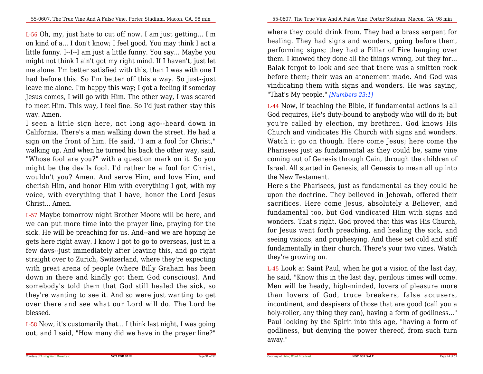L-56 Oh, my, just hate to cut off now. I am just getting... I'm on kind of a... I don't know; I feel good. You may think I act a little funny. I--I--I am just a little funny. You say... Maybe you might not think I ain't got my right mind. If I haven't, just let me alone. I'm better satisfied with this, than I was with one I had before this. So I'm better off this a way. So just--just leave me alone. I'm happy this way; I got a feeling if someday Jesus comes, I will go with Him. The other way, I was scared to meet Him. This way, I feel fine. So I'd just rather stay thisway. Amen.

I seen a little sign here, not long ago--heard down in California. There's a man walking down the street. He had a sign on the front of him. He said, "I am a fool for Christ," walking up. And when he turned his back the other way, said,"Whose fool are you?" with a question mark on it. So you might be the devils fool. I'd rather be a fool for Christ, wouldn't you? Amen. And serve Him, and love Him, and cherish Him, and honor Him with everything I got, with my voice, with everything that I have, honor the Lord JesusChrist... Amen.

L-57 Maybe tomorrow night Brother Moore will be here, and we can put more time into the prayer line, praying for the sick. He will be preaching for us. And--and we are hoping he gets here right away. I know I got to go to overseas, just in a few days--just immediately after leaving this, and go right straight over to Zurich, Switzerland, where they're expecting with great arena of people (where Billy Graham has been down in there and kindly got them God conscious). And somebody's told them that God still healed the sick, so they're wanting to see it. And so were just wanting to get over there and see what our Lord will do. The Lord beblessed.

L-58 Now, it's customarily that... I think last night, I was goingout, and I said, "How many did we have in the prayer line?"

55-0607, The True Vine And A False Vine, Porter Stadium, Macon, GA, 98 min

where they could drink from. They had a brass serpent for healing. They had signs and wonders, going before them, performing signs; they had a Pillar of Fire hanging over them. I knowed they done all the things wrong, but they for...Balak forgot to look and see that there was a smitten rock before them; their was an atonement made. And God was vindicating them with signs and wonders. He was saying,"That's My people." *[Numbers 23:1]*

L-44 Now, if teaching the Bible, if fundamental actions is all God requires, He's duty-bound to anybody who will do it; but you're called by election, my brethren. God knows His Church and vindicates His Church with signs and wonders.Watch it go on though. Here come Jesus; here come the Pharisees just as fundamental as they could be, same vine coming out of Genesis through Cain, through the children of Israel. All started in Genesis, all Genesis to mean all up intothe New Testament.

Here's the Pharisees, just as fundamental as they could be upon the doctrine. They believed in Jehovah, offered their sacrifices. Here come Jesus, absolutely <sup>a</sup> Believer, and fundamental too, but God vindicated Him with signs and wonders. That's right. God proved that this was His Church, for Jesus went forth preaching, and healing the sick, and seeing visions, and prophesying. And these set cold and stiff fundamentally in their church. There's your two vines. Watchthey're growing on.

L-45 Look at Saint Paul, when he got a vision of the last day, he said, "Know this in the last day, perilous times will come.Men will be heady, high-minded, lovers of pleasure more than lovers of God, truce breakers, false accusers, incontinent, and despisers of those that are good (call you a holy-roller, any thing they can), having a form of godliness..." Paul looking by the Spirit into this age, "having a form of godliness, but denying the power thereof, from such turnaway."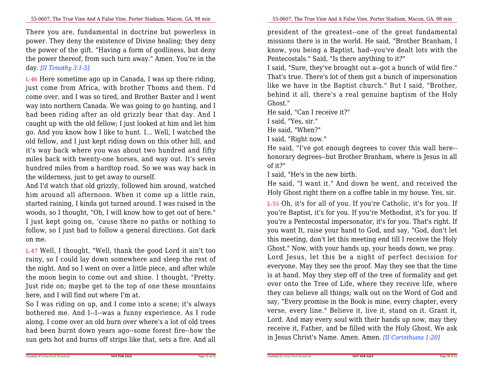There you are, fundamental in doctrine but powerless in power. They deny the existence of Divine healing; they deny the power of the gift. "Having a form of godliness, but deny the power thereof, from such turn away." Amen. You're in theday. *[II Timothy 3:1-5]*

L-46 Here sometime ago up in Canada, I was up there riding,just come from Africa, with brother Thoms and them. I'd come over, and I was so tired, and Brother Baxter and I went way into northern Canada. We was going to go hunting, and I had been riding after an old grizzly bear that day. And I caught up with the old fellow; I just looked at him and let him go. And you know how I like to hunt. I... Well, I watched the old fellow, and I just kept riding down on this other hill, and it's way back where you was about two hundred and fifty miles back with twenty-one horses, and way out. It's seven hundred miles from a hardtop road. So we was way back inthe wilderness, just to get away to ourself.

And I'd watch that old grizzly, followed him around, watched him around all afternoon. When it come up a little rain,started raining, I kinda got turned around. I was raised in the woods, so I thought, "Oh, I will know how to get out of here." I just kept going on, 'cause there no paths or nothing to follow, so I just had to follow a general directions. Got darkon me.

L-47 Well, I thought, "Well, thank the good Lord it ain't too rainy, so I could lay down somewhere and sleep the rest of the night. And so I went on over a little piece, and after while the moon begin to come out and shine. I thought, "Pretty.Just ride on; maybe get to the top of one these mountainshere, and I will find out where I'm at.

So I was riding on up, and I come into a scene; it's always bothered me. And I--I--was a funny experience. As I rode along, I come over an old burn over where's a lot of old trees had been burnt down years ago--some forest fire--how thesun gets hot and burns off strips like that, sets a fire. And all

president of the greatest--one of the great fundamentalmissions there is in the world. He said, "Brother Branham, I know, you being a Baptist, had--you've dealt lots with thePentecostals." Said, "Is there anything to it?"

 I said, "Sure, they've brought out a--got a bunch of wild fire." That's true. There's lot of them got a bunch of impersonation like we have in the Baptist church." But I said, "Brother, behind it all, there's a real genuine baptism of the HolyGhost."

He said, "Can I receive it?"

I said, "Yes, sir."

He said, "When?"

I said, "Right now."

Courtesy of Living Word Broadcast

 He said, "I've got enough degrees to cover this wall here-honorary degrees--but Brother Branham, where is Jesus in allof it?"

I said, "He's in the new birth.

 He said, "I want it." And down he went, and received theHoly Ghost right there on a coffee table in my house. Yes, sir.

L-55 Oh, it's for all of you. If you're Catholic, it's for you. If you're Baptist, it's for you. If you're Methodist, it's for you. If you're a Pentecostal impersonator, it's for you. That's right. If you want It, raise your hand to God, and say, "God, don't let this meeting, don't let this meeting end till I receive the Holy Ghost." Now, with your hands up, your heads down, we pray.Lord Jesus, let this be a night of perfect decision for everyone. May they see the proof. May they see that the time is at hand. May they step off of the tree of formality and get over onto the Tree of Life, where they receive life, where they can believe all things; walk out on the Word of God and say, "Every promise in the Book is mine, every chapter, every verse, every line." Believe it, live it, stand on it. Grant it,Lord. And may every soul with their hands up now, may they receive it, Father, and be filled with the Holy Ghost. We askin Jesus Christ's Name. Amen. Amen. *[II Corinthians 1:20]*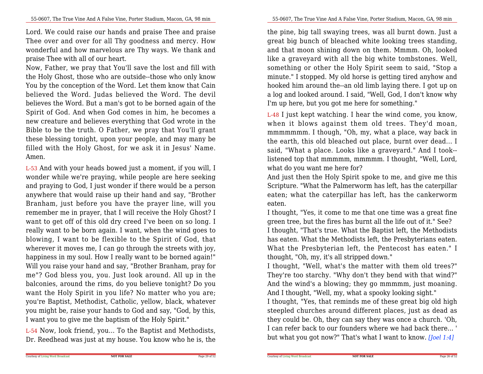Lord. We could raise our hands and praise Thee and praise Thee over and over for all Thy goodness and mercy. How wonderful and how marvelous are Thy ways. We thank andpraise Thee with all of our heart.

Now, Father, we pray that You'll save the lost and fill with the Holy Ghost, those who are outside--those who only know You by the conception of the Word. Let them know that Cain believed the Word. Judas believed the Word. The devilbelieves the Word. But a man's got to be borned again of the Spirit of God. And when God comes in him, he becomes a new creature and believes everything that God wrote in the Bible to be the truth. O Father, we pray that You'll grant these blessing tonight, upon your people, and may many be filled with the Holy Ghost, for we ask it in Jesus' Name.Amen.

L-53 And with your heads bowed just a moment, if you will, I wonder while we're praying, while people are here seeking and praying to God, I just wonder if there would be a person anywhere that would raise up their hand and say, "Brother Branham, just before you have the prayer line, will you remember me in prayer, that I will receive the Holy Ghost? I want to get off of this old dry creed I've been on so long. I really want to be born again. I want, when the wind goes to blowing, I want to be flexible to the Spirit of God, that wherever it moves me, I can go through the streets with joy,happiness in my soul. How I really want to be borned again!" Will you raise your hand and say, "Brother Branham, pray for me"? God bless you, you. Just look around. All up in the balconies, around the rims, do you believe tonight? Do you want the Holy Spirit in you life? No matter who you are; you're Baptist, Methodist, Catholic, yellow, black, whatever you might be, raise your hands to God and say, "God, by this,I want you to give me the baptism of the Holy Spirit."

L-54 Now, look friend, you... To the Baptist and Methodists,Dr. Reedhead was just at my house. You know who he is, the

the pine, big tall swaying trees, was all burnt down. Just a great big bunch of bleached white looking trees standing, and that moon shining down on them. Mmmm. Oh, looked like a graveyard with all the big white tombstones. Well,something or other the Holy Spirit seem to said, "Stop a minute." I stopped. My old horse is getting tired anyhow and hooked him around the--an old limb laying there. I got up on a log and looked around. I said, "Well, God, I don't know whyI'm up here, but you got me here for something."

L-48 I just kept watching. I hear the wind come, you know,when it blows against them old trees. They'd moan, mmmmmmm. I though, "Oh, my, what a place, way back in the earth, this old bleached out place, burnt over dead... I said, "What a place. Looks like a graveyard." And I took-listened top that mmmmm, mmmmm. I thought, "Well, Lord,what do you want me here for?

 And just then the Holy Spirit spoke to me, and give me this Scripture. "What the Palmerworm has left, has the caterpillar eaten; what the caterpillar has left, has the cankerwormeaten.

 I thought, "Yes, it come to me that one time was a great fine green tree, but the fires has burnt all the life out of it." See? I thought, "That's true. What the Baptist left, the Methodists has eaten. What the Methodists left, the Presbyterians eaten. What the Presbyterian left, the Pentecost has eaten." Ithought, "Oh, my, it's all stripped down."

 I thought, "Well, what's the matter with them old trees?" They're too starchy. "Why don't they bend with that wind?" And the wind's a blowing; they go mmmmm, just moaning.And I thought, "Well, my, what a spooky looking sight."

 I thought, "Yes, that reminds me of these great big old high steepled churches around different places, just as dead as they could be. Oh, they can say they was once a church. 'Oh, I can refer back to our founders where we had back there... 'but what you got now?" That's what I want to know. *[Joel 1:4]*